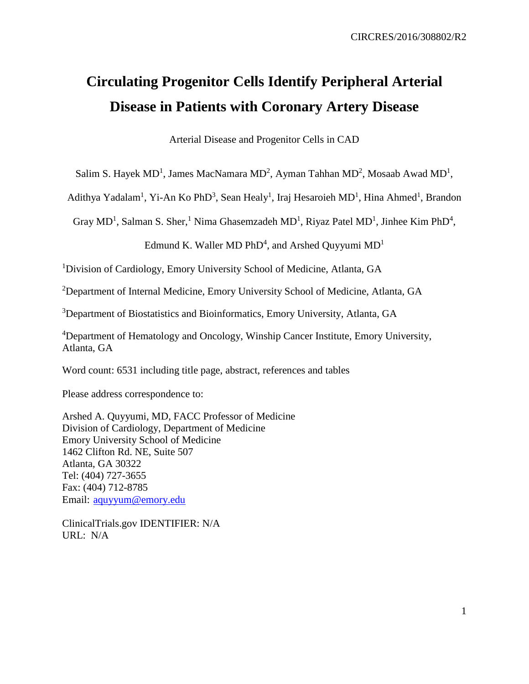# **Circulating Progenitor Cells Identify Peripheral Arterial Disease in Patients with Coronary Artery Disease**

Arterial Disease and Progenitor Cells in CAD

Salim S. Hayek  $MD<sup>1</sup>$ , James MacNamara MD<sup>2</sup>, Ayman Tahhan MD<sup>2</sup>, Mosaab Awad MD<sup>1</sup>,

Adithya Yadalam<sup>1</sup>, Yi-An Ko PhD<sup>3</sup>, Sean Healy<sup>1</sup>, Iraj Hesaroieh MD<sup>1</sup>, Hina Ahmed<sup>1</sup>, Brandon

Gray MD<sup>1</sup>, Salman S. Sher,<sup>1</sup> Nima Ghasemzadeh MD<sup>1</sup>, Riyaz Patel MD<sup>1</sup>, Jinhee Kim PhD<sup>4</sup>,

Edmund K. Waller MD PhD<sup>4</sup>, and Arshed Quyyumi  $MD<sup>1</sup>$ 

<sup>1</sup>Division of Cardiology, Emory University School of Medicine, Atlanta, GA

<sup>2</sup>Department of Internal Medicine, Emory University School of Medicine, Atlanta, GA

<sup>3</sup>Department of Biostatistics and Bioinformatics, Emory University, Atlanta, GA

<sup>4</sup>Department of Hematology and Oncology, Winship Cancer Institute, Emory University, Atlanta, GA

Word count: 6531 including title page, abstract, references and tables

Please address correspondence to:

Arshed A. Quyyumi, MD, FACC Professor of Medicine Division of Cardiology, Department of Medicine Emory University School of Medicine 1462 Clifton Rd. NE, Suite 507 Atlanta, GA 30322 Tel: (404) 727-3655 Fax: (404) 712-8785 Email: [aquyyum@emory.edu](mailto:aquyyum@emory.edu)

ClinicalTrials.gov IDENTIFIER: N/A URL: N/A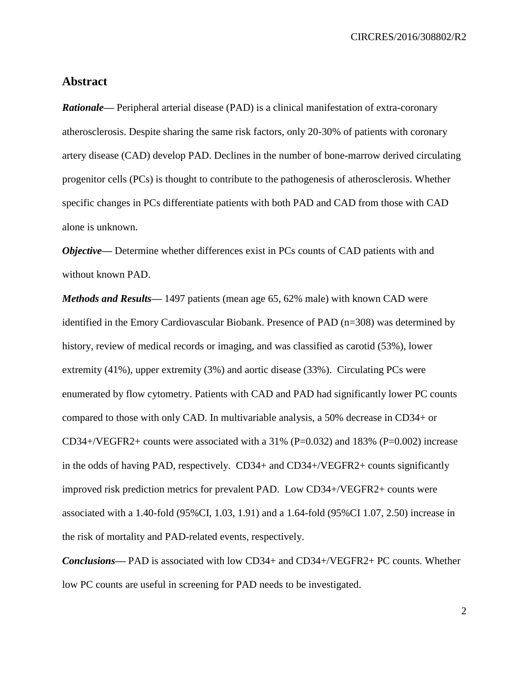## **Abstract**

*Rationale*—— Peripheral arterial disease (PAD) is a clinical manifestation of extra-coronary atherosclerosis. Despite sharing the same risk factors, only 20-30% of patients with coronary artery disease (CAD) develop PAD. Declines in the number of bone-marrow derived circulating progenitor cells (PCs) is thought to contribute to the pathogenesis of atherosclerosis. Whether specific changes in PCs differentiate patients with both PAD and CAD from those with CAD alone is unknown.

*Objective*— Determine whether differences exist in PCs counts of CAD patients with and without known PAD.

*Methods and Results—* 1497 patients (mean age 65, 62% male) with known CAD were identified in the Emory Cardiovascular Biobank. Presence of PAD (n=308) was determined by history, review of medical records or imaging, and was classified as carotid (53%), lower extremity (41%), upper extremity (3%) and aortic disease (33%). Circulating PCs were enumerated by flow cytometry. Patients with CAD and PAD had significantly lower PC counts compared to those with only CAD. In multivariable analysis, a 50% decrease in CD34+ or CD34+/VEGFR2+ counts were associated with a 31% (P=0.032) and 183% (P=0.002) increase in the odds of having PAD, respectively. CD34+ and CD34+/VEGFR2+ counts significantly improved risk prediction metrics for prevalent PAD. Low CD34+/VEGFR2+ counts were associated with a 1.40-fold (95%CI, 1.03, 1.91) and a 1.64-fold (95%CI 1.07, 2.50) increase in the risk of mortality and PAD-related events, respectively.

*Conclusions***—** PAD is associated with low CD34+ and CD34+/VEGFR2+ PC counts. Whether low PC counts are useful in screening for PAD needs to be investigated.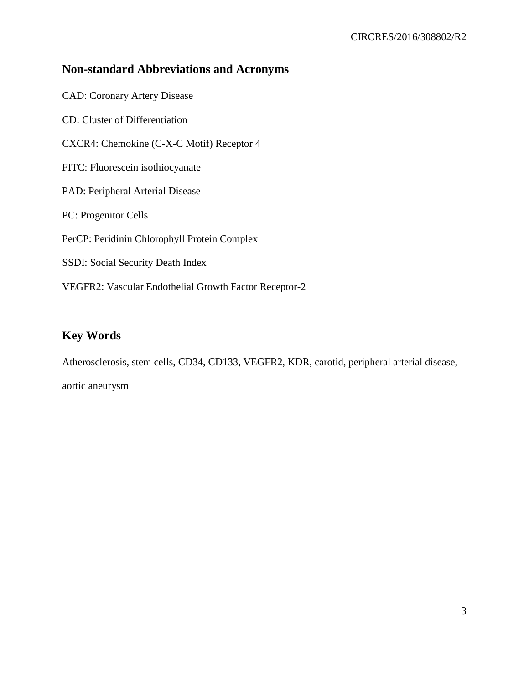## **Non-standard Abbreviations and Acronyms**

CAD: Coronary Artery Disease CD: Cluster of Differentiation CXCR4: Chemokine (C-X-C Motif) Receptor 4 FITC: Fluorescein isothiocyanate PAD: Peripheral Arterial Disease PC: Progenitor Cells PerCP: Peridinin Chlorophyll Protein Complex SSDI: Social Security Death Index VEGFR2: Vascular Endothelial Growth Factor Receptor-2

# **Key Words**

Atherosclerosis, stem cells, CD34, CD133, VEGFR2, KDR, carotid, peripheral arterial disease, aortic aneurysm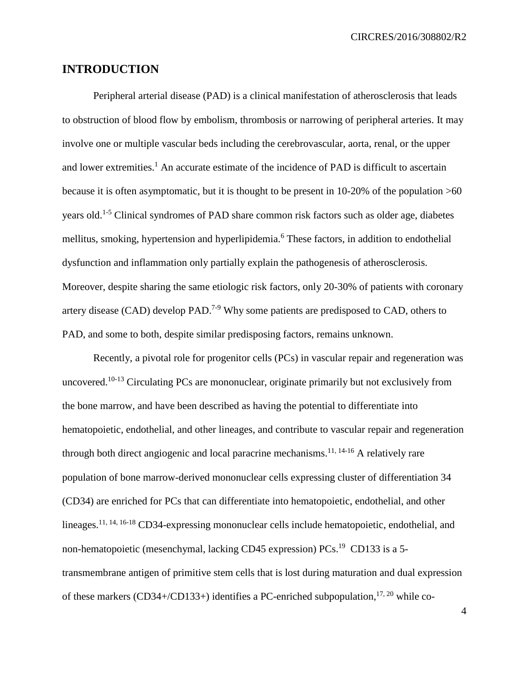CIRCRES/2016/308802/R2

## **INTRODUCTION**

Peripheral arterial disease (PAD) is a clinical manifestation of atherosclerosis that leads to obstruction of blood flow by embolism, thrombosis or narrowing of peripheral arteries. It may involve one or multiple vascular beds including the cerebrovascular, aorta, renal, or the upper and lower extremities.<sup>[1](#page-15-0)</sup> An accurate estimate of the incidence of PAD is difficult to ascertain because it is often asymptomatic, but it is thought to be present in 10-20% of the population >60 years old.<sup>[1-5](#page-15-0)</sup> Clinical syndromes of PAD share common risk factors such as older age, diabetes mellitus, smoking, hypertension and hyperlipidemia.[6](#page-15-1) These factors, in addition to endothelial dysfunction and inflammation only partially explain the pathogenesis of atherosclerosis. Moreover, despite sharing the same etiologic risk factors, only 20-30% of patients with coronary artery disease  $(CAD)$  develop  $PAD.<sup>7-9</sup>$  $PAD.<sup>7-9</sup>$  $PAD.<sup>7-9</sup>$  Why some patients are predisposed to  $CAD$ , others to PAD, and some to both, despite similar predisposing factors, remains unknown.

Recently, a pivotal role for progenitor cells (PCs) in vascular repair and regeneration was uncovered.<sup>[10-13](#page-16-1)</sup> Circulating PCs are mononuclear, originate primarily but not exclusively from the bone marrow, and have been described as having the potential to differentiate into hematopoietic, endothelial, and other lineages, and contribute to vascular repair and regeneration through both direct angiogenic and local paracrine mechanisms.<sup>[11,](#page-16-2) [14-16](#page-16-3)</sup> A relatively rare population of bone marrow-derived mononuclear cells expressing cluster of differentiation 34 (CD34) are enriched for PCs that can differentiate into hematopoietic, endothelial, and other lineages.<sup>[11,](#page-16-2) [14,](#page-16-3) [16-18](#page-17-0)</sup> CD34-expressing mononuclear cells include hematopoietic, endothelial, and non-hematopoietic (mesenchymal, lacking CD45 expression) PCs.<sup>[19](#page-17-1)</sup> CD133 is a 5transmembrane antigen of primitive stem cells that is lost during maturation and dual expression of these markers (CD34+/CD133+) identifies a PC-enriched subpopulation,  $^{17, 20}$  $^{17, 20}$  $^{17, 20}$  $^{17, 20}$  while co-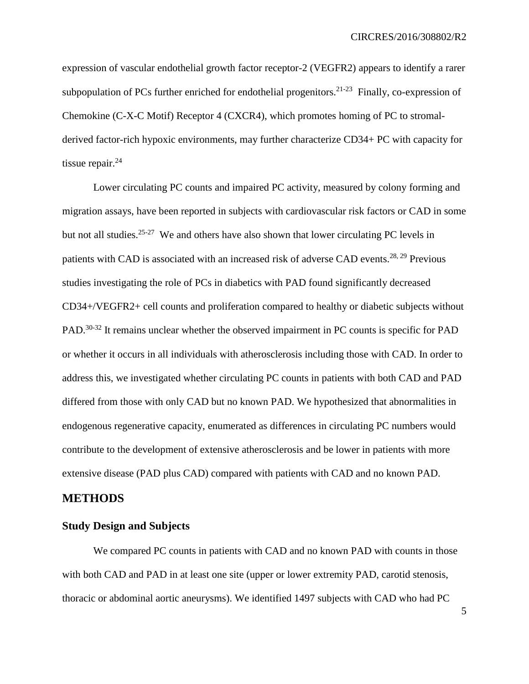expression of vascular endothelial growth factor receptor-2 (VEGFR2) appears to identify a rarer subpopulation of PCs further enriched for endothelial progenitors.<sup>[21-23](#page-17-4)</sup> Finally, co-expression of Chemokine (C-X-C Motif) Receptor 4 (CXCR4), which promotes homing of PC to stromalderived factor-rich hypoxic environments, may further characterize CD34+ PC with capacity for tissue repair. $^{24}$  $^{24}$  $^{24}$ 

Lower circulating PC counts and impaired PC activity, measured by colony forming and migration assays, have been reported in subjects with cardiovascular risk factors or CAD in some but not all studies.<sup>[25-27](#page-18-1)</sup> We and others have also shown that lower circulating PC levels in patients with CAD is associated with an increased risk of adverse CAD events.<sup>[28,](#page-18-2) [29](#page-18-3)</sup> Previous studies investigating the role of PCs in diabetics with PAD found significantly decreased CD34+/VEGFR2+ cell counts and proliferation compared to healthy or diabetic subjects without PAD.<sup>[30-32](#page-19-0)</sup> It remains unclear whether the observed impairment in PC counts is specific for PAD or whether it occurs in all individuals with atherosclerosis including those with CAD. In order to address this, we investigated whether circulating PC counts in patients with both CAD and PAD differed from those with only CAD but no known PAD. We hypothesized that abnormalities in endogenous regenerative capacity, enumerated as differences in circulating PC numbers would contribute to the development of extensive atherosclerosis and be lower in patients with more extensive disease (PAD plus CAD) compared with patients with CAD and no known PAD.

### **METHODS**

#### **Study Design and Subjects**

We compared PC counts in patients with CAD and no known PAD with counts in those with both CAD and PAD in at least one site (upper or lower extremity PAD, carotid stenosis, thoracic or abdominal aortic aneurysms). We identified 1497 subjects with CAD who had PC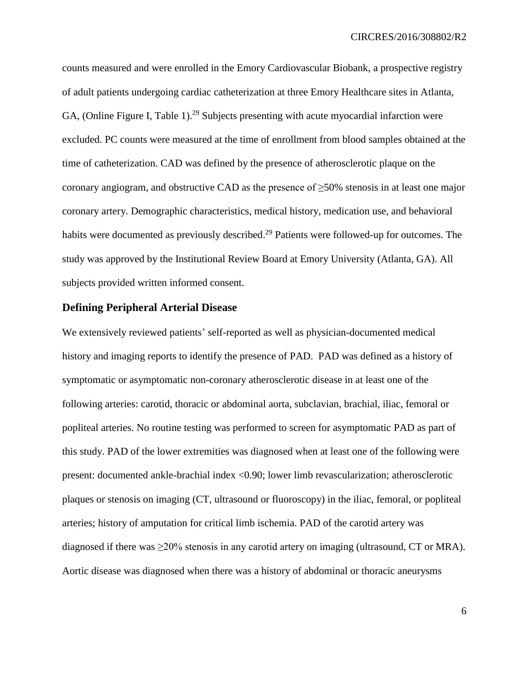counts measured and were enrolled in the Emory Cardiovascular Biobank, a prospective registry of adult patients undergoing cardiac catheterization at three Emory Healthcare sites in Atlanta, GA, (Online Figure I, Table 1).<sup>[29](#page-18-3)</sup> Subjects presenting with acute myocardial infarction were excluded. PC counts were measured at the time of enrollment from blood samples obtained at the time of catheterization. CAD was defined by the presence of atherosclerotic plaque on the coronary angiogram, and obstructive CAD as the presence of  $\geq$ 50% stenosis in at least one major coronary artery. Demographic characteristics, medical history, medication use, and behavioral habits were documented as previously described.<sup>[29](#page-18-3)</sup> Patients were followed-up for outcomes. The study was approved by the Institutional Review Board at Emory University (Atlanta, GA). All subjects provided written informed consent.

#### **Defining Peripheral Arterial Disease**

We extensively reviewed patients' self-reported as well as physician-documented medical history and imaging reports to identify the presence of PAD. PAD was defined as a history of symptomatic or asymptomatic non-coronary atherosclerotic disease in at least one of the following arteries: carotid, thoracic or abdominal aorta, subclavian, brachial, iliac, femoral or popliteal arteries. No routine testing was performed to screen for asymptomatic PAD as part of this study. PAD of the lower extremities was diagnosed when at least one of the following were present: documented ankle-brachial index <0.90; lower limb revascularization; atherosclerotic plaques or stenosis on imaging (CT, ultrasound or fluoroscopy) in the iliac, femoral, or popliteal arteries; history of amputation for critical limb ischemia. PAD of the carotid artery was diagnosed if there was  $\geq$ 20% stenosis in any carotid artery on imaging (ultrasound, CT or MRA). Aortic disease was diagnosed when there was a history of abdominal or thoracic aneurysms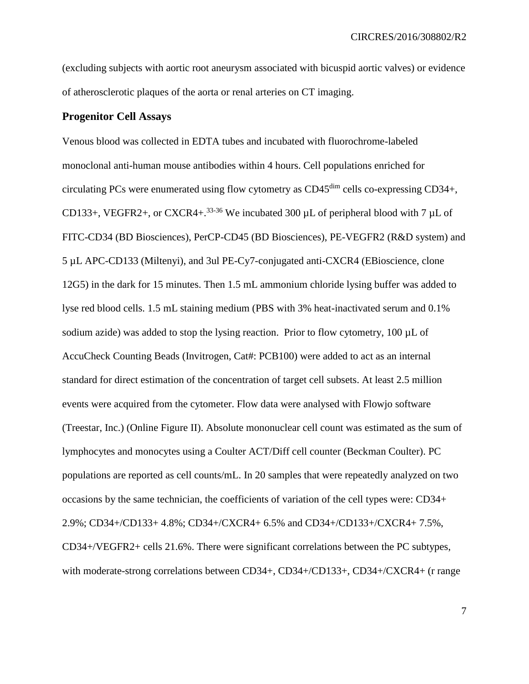(excluding subjects with aortic root aneurysm associated with bicuspid aortic valves) or evidence of atherosclerotic plaques of the aorta or renal arteries on CT imaging.

#### **Progenitor Cell Assays**

Venous blood was collected in EDTA tubes and incubated with fluorochrome-labeled monoclonal anti-human mouse antibodies within 4 hours. Cell populations enriched for circulating PCs were enumerated using flow cytometry as CD45dim cells co-expressing CD34+, CD133+, VEGFR2+, or CXCR4+.<sup>[33-36](#page-19-1)</sup> We incubated 300  $\mu$ L of peripheral blood with 7  $\mu$ L of FITC-CD34 (BD Biosciences), PerCP-CD45 (BD Biosciences), PE-VEGFR2 (R&D system) and 5 µL APC-CD133 (Miltenyi), and 3ul PE-Cy7-conjugated anti-CXCR4 (EBioscience, clone 12G5) in the dark for 15 minutes. Then 1.5 mL ammonium chloride lysing buffer was added to lyse red blood cells. 1.5 mL staining medium (PBS with 3% heat-inactivated serum and 0.1% sodium azide) was added to stop the lysing reaction. Prior to flow cytometry,  $100 \mu L$  of AccuCheck Counting Beads (Invitrogen, Cat#: PCB100) were added to act as an internal standard for direct estimation of the concentration of target cell subsets. At least 2.5 million events were acquired from the cytometer. Flow data were analysed with Flowjo software (Treestar, Inc.) (Online Figure II). Absolute mononuclear cell count was estimated as the sum of lymphocytes and monocytes using a Coulter ACT/Diff cell counter (Beckman Coulter). PC populations are reported as cell counts/mL. In 20 samples that were repeatedly analyzed on two occasions by the same technician, the coefficients of variation of the cell types were: CD34+ 2.9%; CD34+/CD133+ 4.8%; CD34+/CXCR4+ 6.5% and CD34+/CD133+/CXCR4+ 7.5%, CD34+/VEGFR2+ cells 21.6%. There were significant correlations between the PC subtypes, with moderate-strong correlations between CD34+, CD34+/CD133+, CD34+/CXCR4+ (r range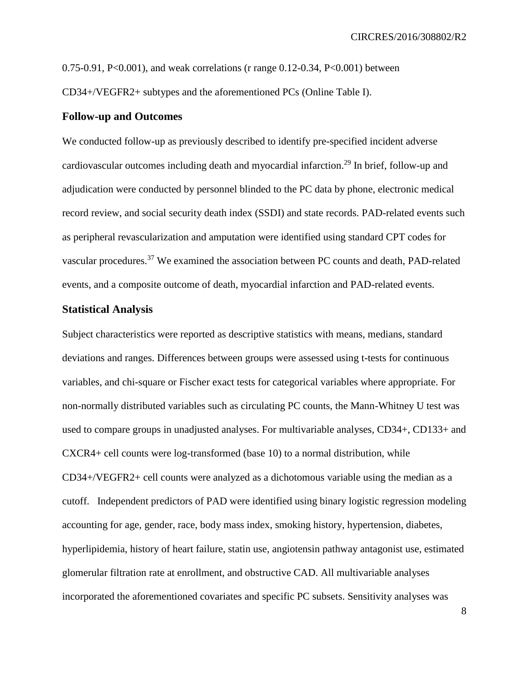0.75-0.91, P<0.001), and weak correlations (r range 0.12-0.34, P<0.001) between CD34+/VEGFR2+ subtypes and the aforementioned PCs (Online Table I).

#### **Follow-up and Outcomes**

We conducted follow-up as previously described to identify pre-specified incident adverse cardiovascular outcomes including death and myocardial infarction.<sup>[29](#page-18-3)</sup> In brief, follow-up and adjudication were conducted by personnel blinded to the PC data by phone, electronic medical record review, and social security death index (SSDI) and state records. PAD-related events such as peripheral revascularization and amputation were identified using standard CPT codes for vascular procedures.[37](#page-20-0) We examined the association between PC counts and death, PAD-related events, and a composite outcome of death, myocardial infarction and PAD-related events.

#### **Statistical Analysis**

Subject characteristics were reported as descriptive statistics with means, medians, standard deviations and ranges. Differences between groups were assessed using t-tests for continuous variables, and chi-square or Fischer exact tests for categorical variables where appropriate. For non-normally distributed variables such as circulating PC counts, the Mann-Whitney U test was used to compare groups in unadjusted analyses. For multivariable analyses, CD34+, CD133+ and CXCR4+ cell counts were log-transformed (base 10) to a normal distribution, while CD34+/VEGFR2+ cell counts were analyzed as a dichotomous variable using the median as a cutoff. Independent predictors of PAD were identified using binary logistic regression modeling accounting for age, gender, race, body mass index, smoking history, hypertension, diabetes, hyperlipidemia, history of heart failure, statin use, angiotensin pathway antagonist use, estimated glomerular filtration rate at enrollment, and obstructive CAD. All multivariable analyses incorporated the aforementioned covariates and specific PC subsets. Sensitivity analyses was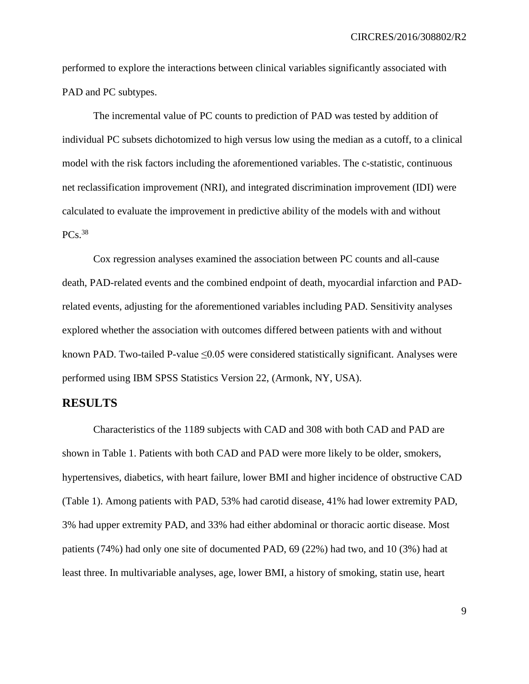performed to explore the interactions between clinical variables significantly associated with PAD and PC subtypes.

The incremental value of PC counts to prediction of PAD was tested by addition of individual PC subsets dichotomized to high versus low using the median as a cutoff, to a clinical model with the risk factors including the aforementioned variables. The c-statistic, continuous net reclassification improvement (NRI), and integrated discrimination improvement (IDI) were calculated to evaluate the improvement in predictive ability of the models with and without  $PCs.<sup>38</sup>$  $PCs.<sup>38</sup>$  $PCs.<sup>38</sup>$ 

Cox regression analyses examined the association between PC counts and all-cause death, PAD-related events and the combined endpoint of death, myocardial infarction and PADrelated events, adjusting for the aforementioned variables including PAD. Sensitivity analyses explored whether the association with outcomes differed between patients with and without known PAD. Two-tailed P-value ≤0.05 were considered statistically significant. Analyses were performed using IBM SPSS Statistics Version 22, (Armonk, NY, USA).

#### **RESULTS**

Characteristics of the 1189 subjects with CAD and 308 with both CAD and PAD are shown in Table 1. Patients with both CAD and PAD were more likely to be older, smokers, hypertensives, diabetics, with heart failure, lower BMI and higher incidence of obstructive CAD (Table 1). Among patients with PAD, 53% had carotid disease, 41% had lower extremity PAD, 3% had upper extremity PAD, and 33% had either abdominal or thoracic aortic disease. Most patients (74%) had only one site of documented PAD, 69 (22%) had two, and 10 (3%) had at least three. In multivariable analyses, age, lower BMI, a history of smoking, statin use, heart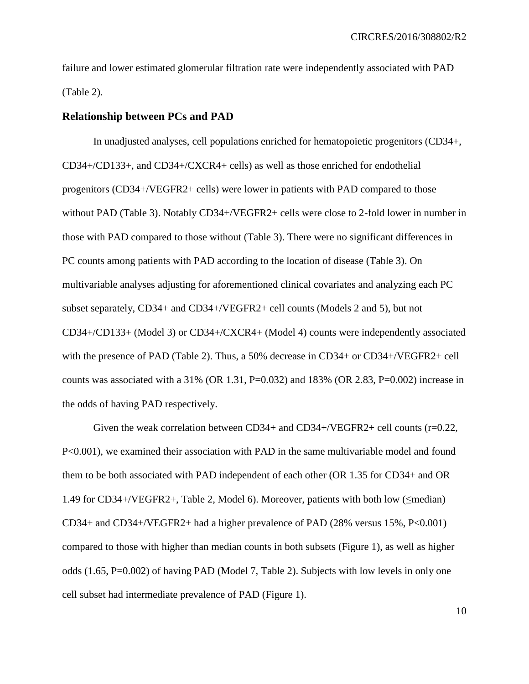failure and lower estimated glomerular filtration rate were independently associated with PAD (Table 2).

#### **Relationship between PCs and PAD**

In unadjusted analyses, cell populations enriched for hematopoietic progenitors (CD34+, CD34+/CD133+, and CD34+/CXCR4+ cells) as well as those enriched for endothelial progenitors (CD34+/VEGFR2+ cells) were lower in patients with PAD compared to those without PAD (Table 3). Notably CD34+/VEGFR2+ cells were close to 2-fold lower in number in those with PAD compared to those without (Table 3). There were no significant differences in PC counts among patients with PAD according to the location of disease (Table 3). On multivariable analyses adjusting for aforementioned clinical covariates and analyzing each PC subset separately, CD34+ and CD34+/VEGFR2+ cell counts (Models 2 and 5), but not CD34+/CD133+ (Model 3) or CD34+/CXCR4+ (Model 4) counts were independently associated with the presence of PAD (Table 2). Thus, a 50% decrease in CD34+ or CD34+/VEGFR2+ cell counts was associated with a  $31\%$  (OR 1.31, P=0.032) and 183% (OR 2.83, P=0.002) increase in the odds of having PAD respectively.

Given the weak correlation between CD34+ and CD34+/VEGFR2+ cell counts (r=0.22, P<0.001), we examined their association with PAD in the same multivariable model and found them to be both associated with PAD independent of each other (OR 1.35 for CD34+ and OR 1.49 for CD34+/VEGFR2+, Table 2, Model 6). Moreover, patients with both low (≤median) CD34+ and CD34+/VEGFR2+ had a higher prevalence of PAD (28% versus 15%, P<0.001) compared to those with higher than median counts in both subsets (Figure 1), as well as higher odds (1.65, P=0.002) of having PAD (Model 7, Table 2). Subjects with low levels in only one cell subset had intermediate prevalence of PAD (Figure 1).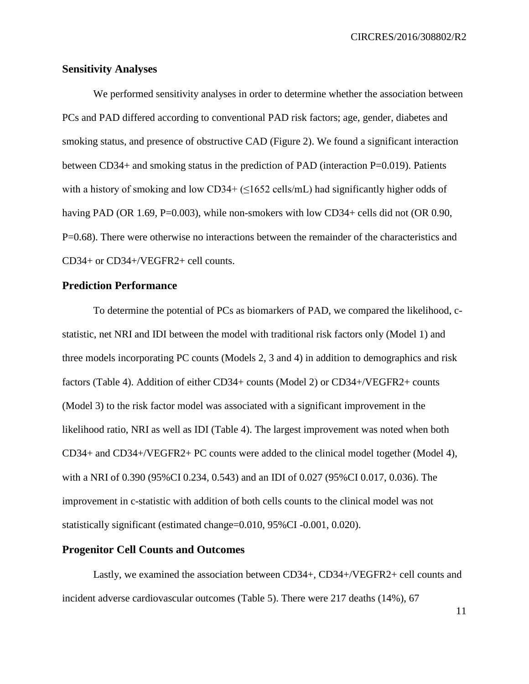#### **Sensitivity Analyses**

We performed sensitivity analyses in order to determine whether the association between PCs and PAD differed according to conventional PAD risk factors; age, gender, diabetes and smoking status, and presence of obstructive CAD (Figure 2). We found a significant interaction between CD34+ and smoking status in the prediction of PAD (interaction P=0.019). Patients with a history of smoking and low CD34+  $(\leq 1652 \text{ cells/mL})$  had significantly higher odds of having PAD (OR 1.69, P=0.003), while non-smokers with low CD34+ cells did not (OR 0.90, P=0.68). There were otherwise no interactions between the remainder of the characteristics and CD34+ or CD34+/VEGFR2+ cell counts.

#### **Prediction Performance**

To determine the potential of PCs as biomarkers of PAD, we compared the likelihood, cstatistic, net NRI and IDI between the model with traditional risk factors only (Model 1) and three models incorporating PC counts (Models 2, 3 and 4) in addition to demographics and risk factors (Table 4). Addition of either CD34+ counts (Model 2) or CD34+/VEGFR2+ counts (Model 3) to the risk factor model was associated with a significant improvement in the likelihood ratio, NRI as well as IDI (Table 4). The largest improvement was noted when both CD34+ and CD34+/VEGFR2+ PC counts were added to the clinical model together (Model 4), with a NRI of 0.390 (95%CI 0.234, 0.543) and an IDI of 0.027 (95%CI 0.017, 0.036). The improvement in c-statistic with addition of both cells counts to the clinical model was not statistically significant (estimated change=0.010, 95%CI -0.001, 0.020).

#### **Progenitor Cell Counts and Outcomes**

Lastly, we examined the association between CD34+, CD34+/VEGFR2+ cell counts and incident adverse cardiovascular outcomes (Table 5). There were 217 deaths (14%), 67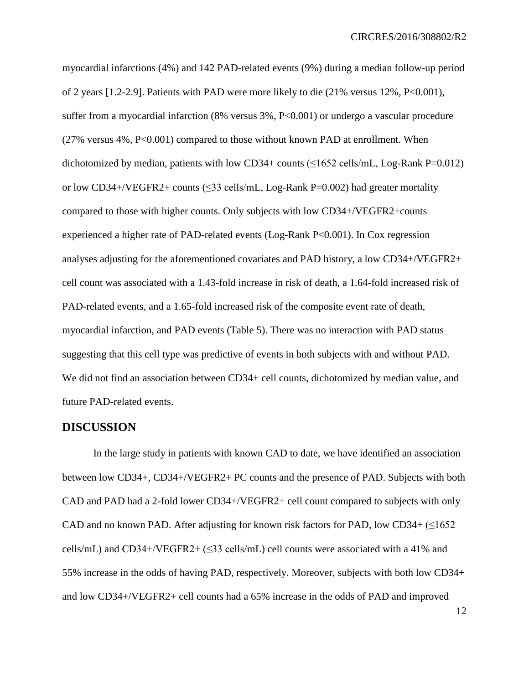myocardial infarctions (4%) and 142 PAD-related events (9%) during a median follow-up period of 2 years [1.2-2.9]. Patients with PAD were more likely to die (21% versus 12%, P<0.001), suffer from a myocardial infarction (8% versus 3%, P<0.001) or undergo a vascular procedure (27% versus 4%, P<0.001) compared to those without known PAD at enrollment. When dichotomized by median, patients with low CD34+ counts  $(\leq 1652 \text{ cells/mL}, \text{Log-Rank P=0.012})$ or low CD34+/VEGFR2+ counts  $(\leq 33 \text{ cells/mL}, \text{Log-Rank P=0.002})$  had greater mortality compared to those with higher counts. Only subjects with low CD34+/VEGFR2+counts experienced a higher rate of PAD-related events (Log-Rank P<0.001). In Cox regression analyses adjusting for the aforementioned covariates and PAD history, a low CD34+/VEGFR2+ cell count was associated with a 1.43-fold increase in risk of death, a 1.64-fold increased risk of PAD-related events, and a 1.65-fold increased risk of the composite event rate of death, myocardial infarction, and PAD events (Table 5). There was no interaction with PAD status suggesting that this cell type was predictive of events in both subjects with and without PAD. We did not find an association between CD34+ cell counts, dichotomized by median value, and future PAD-related events.

#### **DISCUSSION**

In the large study in patients with known CAD to date, we have identified an association between low CD34+, CD34+/VEGFR2+ PC counts and the presence of PAD. Subjects with both CAD and PAD had a 2-fold lower CD34+/VEGFR2+ cell count compared to subjects with only CAD and no known PAD. After adjusting for known risk factors for PAD, low CD34+  $(\leq 1652$ cells/mL) and CD34+/VEGFR2+ ( $\leq$ 33 cells/mL) cell counts were associated with a 41% and 55% increase in the odds of having PAD, respectively. Moreover, subjects with both low CD34+ and low CD34+/VEGFR2+ cell counts had a 65% increase in the odds of PAD and improved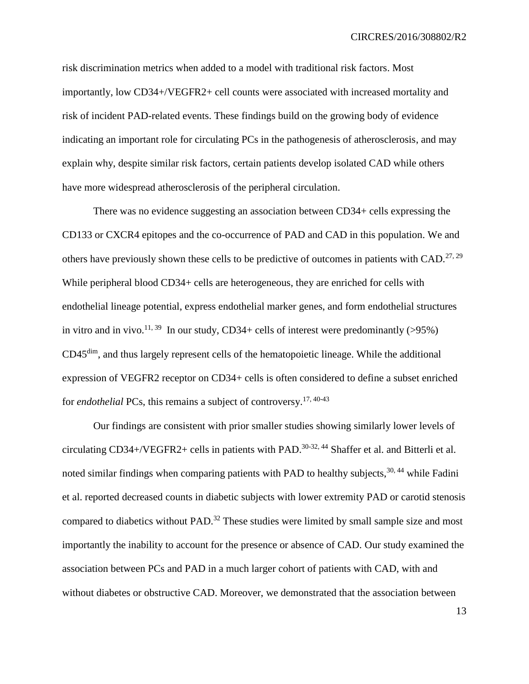risk discrimination metrics when added to a model with traditional risk factors. Most importantly, low CD34+/VEGFR2+ cell counts were associated with increased mortality and risk of incident PAD-related events. These findings build on the growing body of evidence indicating an important role for circulating PCs in the pathogenesis of atherosclerosis, and may explain why, despite similar risk factors, certain patients develop isolated CAD while others have more widespread atherosclerosis of the peripheral circulation.

There was no evidence suggesting an association between CD34+ cells expressing the CD133 or CXCR4 epitopes and the co-occurrence of PAD and CAD in this population. We and others have previously shown these cells to be predictive of outcomes in patients with CAD.<sup>[27,](#page-18-4) [29](#page-18-3)</sup> While peripheral blood CD34+ cells are heterogeneous, they are enriched for cells with endothelial lineage potential, express endothelial marker genes, and form endothelial structures in vitro and in vivo.<sup>[11,](#page-16-2) [39](#page-20-2)</sup> In our study, CD34+ cells of interest were predominantly (>95%) CD45dim, and thus largely represent cells of the hematopoietic lineage. While the additional expression of VEGFR2 receptor on CD34+ cells is often considered to define a subset enriched for *endothelial* PCs, this remains a subject of controversy.[17,](#page-17-2) [40-43](#page-20-3)

Our findings are consistent with prior smaller studies showing similarly lower levels of circulating CD34+/VEGFR2+ cells in patients with PAD.<sup>[30-32,](#page-19-0) [44](#page-21-0)</sup> Shaffer et al. and Bitterli et al. noted similar findings when comparing patients with PAD to healthy subjects,  $30, 44$  $30, 44$  while Fadini et al. reported decreased counts in diabetic subjects with lower extremity PAD or carotid stenosis compared to diabetics without PAD.<sup>[32](#page-19-2)</sup> These studies were limited by small sample size and most importantly the inability to account for the presence or absence of CAD. Our study examined the association between PCs and PAD in a much larger cohort of patients with CAD, with and without diabetes or obstructive CAD. Moreover, we demonstrated that the association between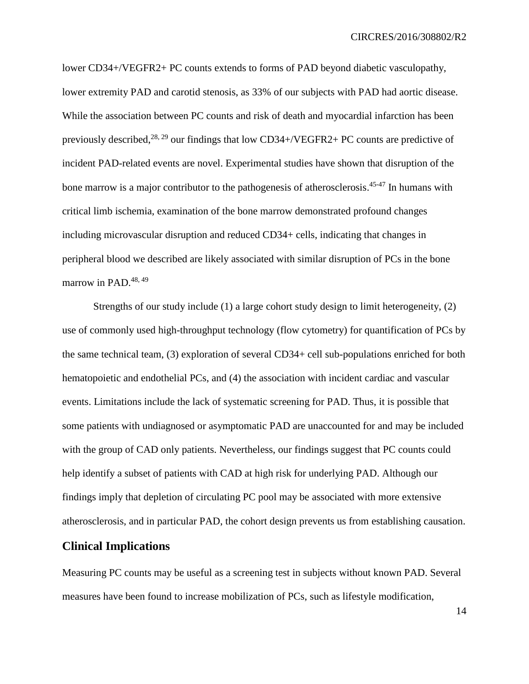lower CD34+/VEGFR2+ PC counts extends to forms of PAD beyond diabetic vasculopathy, lower extremity PAD and carotid stenosis, as 33% of our subjects with PAD had aortic disease. While the association between PC counts and risk of death and myocardial infarction has been previously described,<sup>[28,](#page-18-2) [29](#page-18-3)</sup> our findings that low CD34+/VEGFR2+ PC counts are predictive of incident PAD-related events are novel. Experimental studies have shown that disruption of the bone marrow is a major contributor to the pathogenesis of atherosclerosis.<sup>[45-47](#page-21-1)</sup> In humans with critical limb ischemia, examination of the bone marrow demonstrated profound changes including microvascular disruption and reduced CD34+ cells, indicating that changes in peripheral blood we described are likely associated with similar disruption of PCs in the bone marrow in PAD.<sup>[48,](#page-21-2) [49](#page-21-3)</sup>

Strengths of our study include (1) a large cohort study design to limit heterogeneity, (2) use of commonly used high-throughput technology (flow cytometry) for quantification of PCs by the same technical team, (3) exploration of several CD34+ cell sub-populations enriched for both hematopoietic and endothelial PCs, and (4) the association with incident cardiac and vascular events. Limitations include the lack of systematic screening for PAD. Thus, it is possible that some patients with undiagnosed or asymptomatic PAD are unaccounted for and may be included with the group of CAD only patients. Nevertheless, our findings suggest that PC counts could help identify a subset of patients with CAD at high risk for underlying PAD. Although our findings imply that depletion of circulating PC pool may be associated with more extensive atherosclerosis, and in particular PAD, the cohort design prevents us from establishing causation.

## **Clinical Implications**

Measuring PC counts may be useful as a screening test in subjects without known PAD. Several measures have been found to increase mobilization of PCs, such as lifestyle modification,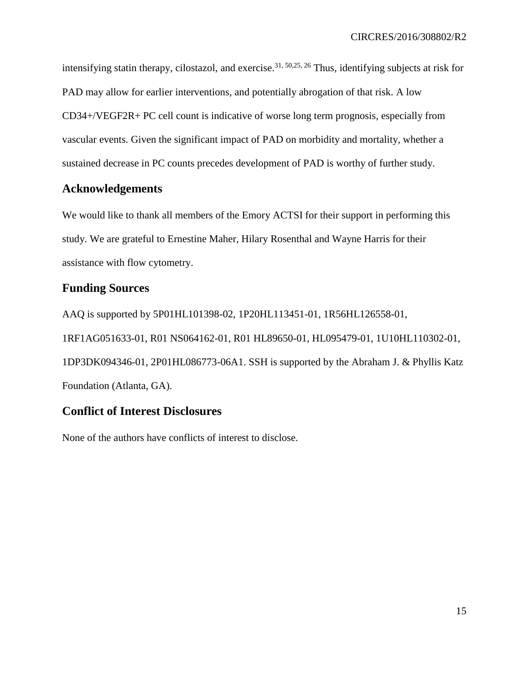intensifying statin therapy, cilostazol, and exercise. [31,](#page-19-3) [50](#page-21-4)[,25,](#page-18-1) [26](#page-18-5) Thus, identifying subjects at risk for PAD may allow for earlier interventions, and potentially abrogation of that risk. A low CD34+/VEGF2R+ PC cell count is indicative of worse long term prognosis, especially from vascular events. Given the significant impact of PAD on morbidity and mortality, whether a sustained decrease in PC counts precedes development of PAD is worthy of further study.

## **Acknowledgements**

We would like to thank all members of the Emory ACTSI for their support in performing this study. We are grateful to Ernestine Maher, Hilary Rosenthal and Wayne Harris for their assistance with flow cytometry.

## **Funding Sources**

AAQ is supported by 5P01HL101398-02, 1P20HL113451-01, 1R56HL126558-01, 1RF1AG051633-01, R01 NS064162-01, R01 HL89650-01, HL095479-01, 1U10HL110302-01, 1DP3DK094346-01, 2P01HL086773-06A1. SSH is supported by the Abraham J. & Phyllis Katz Foundation (Atlanta, GA).

## **Conflict of Interest Disclosures**

None of the authors have conflicts of interest to disclose.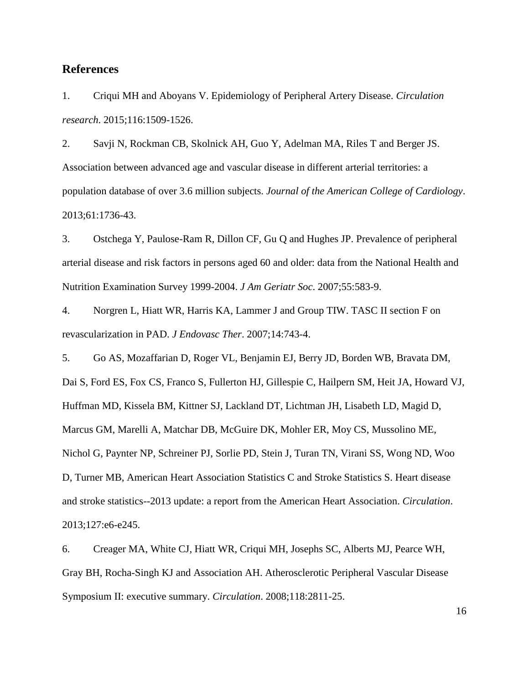## **References**

<span id="page-15-0"></span>1. Criqui MH and Aboyans V. Epidemiology of Peripheral Artery Disease. *Circulation research*. 2015;116:1509-1526.

2. Savji N, Rockman CB, Skolnick AH, Guo Y, Adelman MA, Riles T and Berger JS. Association between advanced age and vascular disease in different arterial territories: a population database of over 3.6 million subjects. *Journal of the American College of Cardiology*. 2013;61:1736-43.

3. Ostchega Y, Paulose-Ram R, Dillon CF, Gu Q and Hughes JP. Prevalence of peripheral arterial disease and risk factors in persons aged 60 and older: data from the National Health and Nutrition Examination Survey 1999-2004. *J Am Geriatr Soc*. 2007;55:583-9.

4. Norgren L, Hiatt WR, Harris KA, Lammer J and Group TIW. TASC II section F on revascularization in PAD. *J Endovasc Ther*. 2007;14:743-4.

5. Go AS, Mozaffarian D, Roger VL, Benjamin EJ, Berry JD, Borden WB, Bravata DM, Dai S, Ford ES, Fox CS, Franco S, Fullerton HJ, Gillespie C, Hailpern SM, Heit JA, Howard VJ, Huffman MD, Kissela BM, Kittner SJ, Lackland DT, Lichtman JH, Lisabeth LD, Magid D, Marcus GM, Marelli A, Matchar DB, McGuire DK, Mohler ER, Moy CS, Mussolino ME, Nichol G, Paynter NP, Schreiner PJ, Sorlie PD, Stein J, Turan TN, Virani SS, Wong ND, Woo D, Turner MB, American Heart Association Statistics C and Stroke Statistics S. Heart disease and stroke statistics--2013 update: a report from the American Heart Association. *Circulation*. 2013;127:e6-e245.

<span id="page-15-1"></span>6. Creager MA, White CJ, Hiatt WR, Criqui MH, Josephs SC, Alberts MJ, Pearce WH, Gray BH, Rocha-Singh KJ and Association AH. Atherosclerotic Peripheral Vascular Disease Symposium II: executive summary. *Circulation*. 2008;118:2811-25.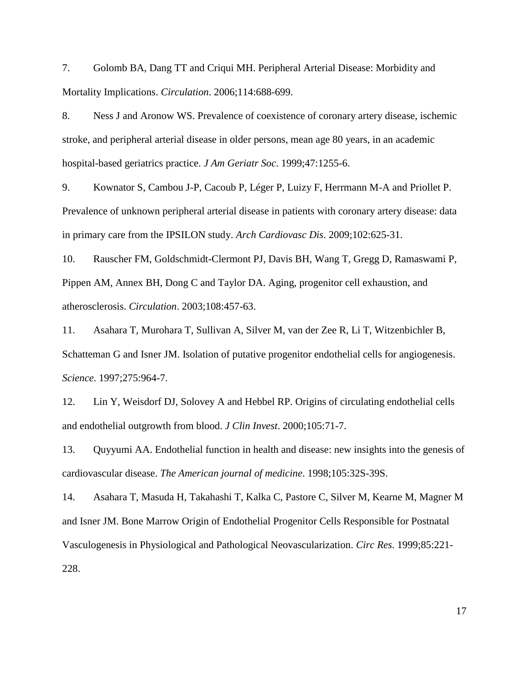<span id="page-16-0"></span>7. Golomb BA, Dang TT and Criqui MH. Peripheral Arterial Disease: Morbidity and Mortality Implications. *Circulation*. 2006;114:688-699.

8. Ness J and Aronow WS. Prevalence of coexistence of coronary artery disease, ischemic stroke, and peripheral arterial disease in older persons, mean age 80 years, in an academic hospital-based geriatrics practice. *J Am Geriatr Soc*. 1999;47:1255-6.

9. Kownator S, Cambou J-P, Cacoub P, Léger P, Luizy F, Herrmann M-A and Priollet P. Prevalence of unknown peripheral arterial disease in patients with coronary artery disease: data in primary care from the IPSILON study. *Arch Cardiovasc Dis*. 2009;102:625-31.

<span id="page-16-1"></span>10. Rauscher FM, Goldschmidt-Clermont PJ, Davis BH, Wang T, Gregg D, Ramaswami P, Pippen AM, Annex BH, Dong C and Taylor DA. Aging, progenitor cell exhaustion, and atherosclerosis. *Circulation*. 2003;108:457-63.

<span id="page-16-2"></span>11. Asahara T, Murohara T, Sullivan A, Silver M, van der Zee R, Li T, Witzenbichler B, Schatteman G and Isner JM. Isolation of putative progenitor endothelial cells for angiogenesis. *Science*. 1997;275:964-7.

12. Lin Y, Weisdorf DJ, Solovey A and Hebbel RP. Origins of circulating endothelial cells and endothelial outgrowth from blood. *J Clin Invest*. 2000;105:71-7.

13. Quyyumi AA. Endothelial function in health and disease: new insights into the genesis of cardiovascular disease. *The American journal of medicine*. 1998;105:32S-39S.

<span id="page-16-3"></span>14. Asahara T, Masuda H, Takahashi T, Kalka C, Pastore C, Silver M, Kearne M, Magner M and Isner JM. Bone Marrow Origin of Endothelial Progenitor Cells Responsible for Postnatal Vasculogenesis in Physiological and Pathological Neovascularization. *Circ Res*. 1999;85:221- 228.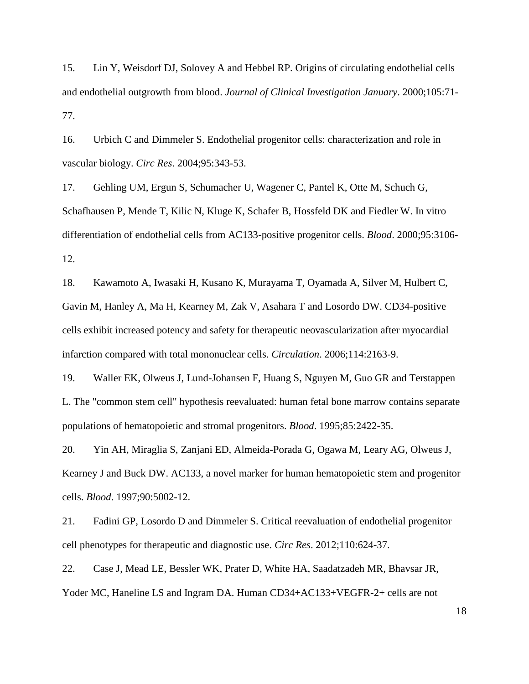15. Lin Y, Weisdorf DJ, Solovey A and Hebbel RP. Origins of circulating endothelial cells and endothelial outgrowth from blood. *Journal of Clinical Investigation January*. 2000;105:71- 77.

<span id="page-17-0"></span>16. Urbich C and Dimmeler S. Endothelial progenitor cells: characterization and role in vascular biology. *Circ Res*. 2004;95:343-53.

<span id="page-17-2"></span>17. Gehling UM, Ergun S, Schumacher U, Wagener C, Pantel K, Otte M, Schuch G, Schafhausen P, Mende T, Kilic N, Kluge K, Schafer B, Hossfeld DK and Fiedler W. In vitro differentiation of endothelial cells from AC133-positive progenitor cells. *Blood*. 2000;95:3106- 12.

18. Kawamoto A, Iwasaki H, Kusano K, Murayama T, Oyamada A, Silver M, Hulbert C, Gavin M, Hanley A, Ma H, Kearney M, Zak V, Asahara T and Losordo DW. CD34-positive cells exhibit increased potency and safety for therapeutic neovascularization after myocardial infarction compared with total mononuclear cells. *Circulation*. 2006;114:2163-9.

<span id="page-17-1"></span>19. Waller EK, Olweus J, Lund-Johansen F, Huang S, Nguyen M, Guo GR and Terstappen L. The "common stem cell" hypothesis reevaluated: human fetal bone marrow contains separate populations of hematopoietic and stromal progenitors. *Blood*. 1995;85:2422-35.

<span id="page-17-3"></span>20. Yin AH, Miraglia S, Zanjani ED, Almeida-Porada G, Ogawa M, Leary AG, Olweus J, Kearney J and Buck DW. AC133, a novel marker for human hematopoietic stem and progenitor cells. *Blood*. 1997;90:5002-12.

<span id="page-17-4"></span>21. Fadini GP, Losordo D and Dimmeler S. Critical reevaluation of endothelial progenitor cell phenotypes for therapeutic and diagnostic use. *Circ Res*. 2012;110:624-37.

22. Case J, Mead LE, Bessler WK, Prater D, White HA, Saadatzadeh MR, Bhavsar JR, Yoder MC, Haneline LS and Ingram DA. Human CD34+AC133+VEGFR-2+ cells are not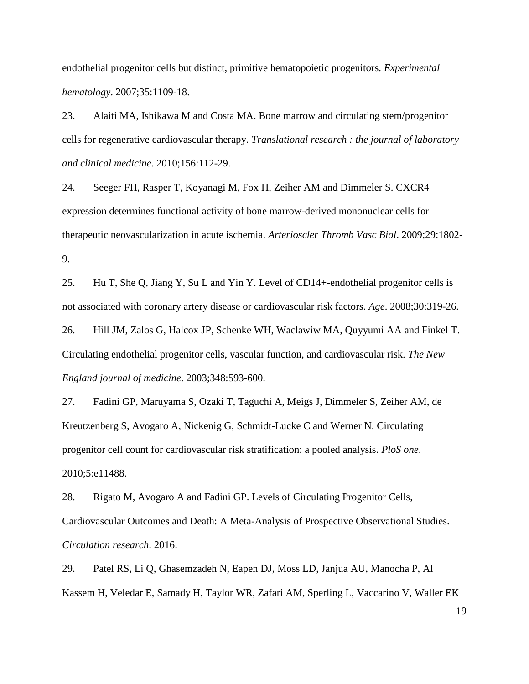endothelial progenitor cells but distinct, primitive hematopoietic progenitors. *Experimental hematology*. 2007;35:1109-18.

23. Alaiti MA, Ishikawa M and Costa MA. Bone marrow and circulating stem/progenitor cells for regenerative cardiovascular therapy. *Translational research : the journal of laboratory and clinical medicine*. 2010;156:112-29.

<span id="page-18-0"></span>24. Seeger FH, Rasper T, Koyanagi M, Fox H, Zeiher AM and Dimmeler S. CXCR4 expression determines functional activity of bone marrow-derived mononuclear cells for therapeutic neovascularization in acute ischemia. *Arterioscler Thromb Vasc Biol*. 2009;29:1802- 9.

<span id="page-18-1"></span>25. Hu T, She Q, Jiang Y, Su L and Yin Y. Level of CD14+-endothelial progenitor cells is not associated with coronary artery disease or cardiovascular risk factors. *Age*. 2008;30:319-26.

<span id="page-18-5"></span>26. Hill JM, Zalos G, Halcox JP, Schenke WH, Waclawiw MA, Quyyumi AA and Finkel T. Circulating endothelial progenitor cells, vascular function, and cardiovascular risk. *The New England journal of medicine*. 2003;348:593-600.

<span id="page-18-4"></span>27. Fadini GP, Maruyama S, Ozaki T, Taguchi A, Meigs J, Dimmeler S, Zeiher AM, de Kreutzenberg S, Avogaro A, Nickenig G, Schmidt-Lucke C and Werner N. Circulating progenitor cell count for cardiovascular risk stratification: a pooled analysis. *PloS one*. 2010;5:e11488.

<span id="page-18-2"></span>28. Rigato M, Avogaro A and Fadini GP. Levels of Circulating Progenitor Cells, Cardiovascular Outcomes and Death: A Meta-Analysis of Prospective Observational Studies. *Circulation research*. 2016.

<span id="page-18-3"></span>29. Patel RS, Li Q, Ghasemzadeh N, Eapen DJ, Moss LD, Janjua AU, Manocha P, Al Kassem H, Veledar E, Samady H, Taylor WR, Zafari AM, Sperling L, Vaccarino V, Waller EK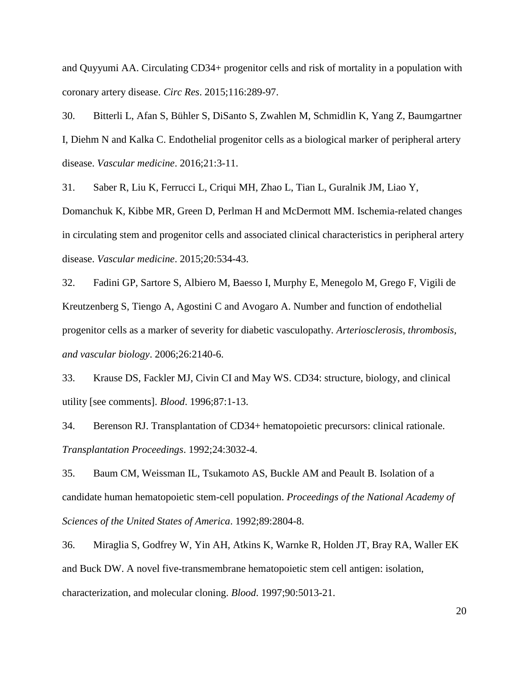and Quyyumi AA. Circulating CD34+ progenitor cells and risk of mortality in a population with coronary artery disease. *Circ Res*. 2015;116:289-97.

<span id="page-19-0"></span>30. Bitterli L, Afan S, Bühler S, DiSanto S, Zwahlen M, Schmidlin K, Yang Z, Baumgartner I, Diehm N and Kalka C. Endothelial progenitor cells as a biological marker of peripheral artery disease. *Vascular medicine*. 2016;21:3-11.

<span id="page-19-3"></span>31. Saber R, Liu K, Ferrucci L, Criqui MH, Zhao L, Tian L, Guralnik JM, Liao Y,

Domanchuk K, Kibbe MR, Green D, Perlman H and McDermott MM. Ischemia-related changes in circulating stem and progenitor cells and associated clinical characteristics in peripheral artery disease. *Vascular medicine*. 2015;20:534-43.

<span id="page-19-2"></span>32. Fadini GP, Sartore S, Albiero M, Baesso I, Murphy E, Menegolo M, Grego F, Vigili de Kreutzenberg S, Tiengo A, Agostini C and Avogaro A. Number and function of endothelial progenitor cells as a marker of severity for diabetic vasculopathy. *Arteriosclerosis, thrombosis, and vascular biology*. 2006;26:2140-6.

<span id="page-19-1"></span>33. Krause DS, Fackler MJ, Civin CI and May WS. CD34: structure, biology, and clinical utility [see comments]. *Blood*. 1996;87:1-13.

34. Berenson RJ. Transplantation of CD34+ hematopoietic precursors: clinical rationale. *Transplantation Proceedings*. 1992;24:3032-4.

35. Baum CM, Weissman IL, Tsukamoto AS, Buckle AM and Peault B. Isolation of a candidate human hematopoietic stem-cell population. *Proceedings of the National Academy of Sciences of the United States of America*. 1992;89:2804-8.

36. Miraglia S, Godfrey W, Yin AH, Atkins K, Warnke R, Holden JT, Bray RA, Waller EK and Buck DW. A novel five-transmembrane hematopoietic stem cell antigen: isolation, characterization, and molecular cloning. *Blood*. 1997;90:5013-21.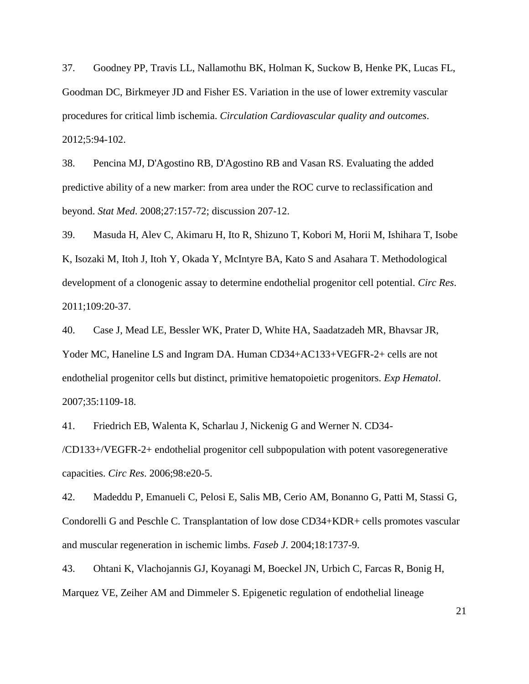<span id="page-20-0"></span>37. Goodney PP, Travis LL, Nallamothu BK, Holman K, Suckow B, Henke PK, Lucas FL, Goodman DC, Birkmeyer JD and Fisher ES. Variation in the use of lower extremity vascular procedures for critical limb ischemia. *Circulation Cardiovascular quality and outcomes*. 2012;5:94-102.

<span id="page-20-1"></span>38. Pencina MJ, D'Agostino RB, D'Agostino RB and Vasan RS. Evaluating the added predictive ability of a new marker: from area under the ROC curve to reclassification and beyond. *Stat Med*. 2008;27:157-72; discussion 207-12.

<span id="page-20-2"></span>39. Masuda H, Alev C, Akimaru H, Ito R, Shizuno T, Kobori M, Horii M, Ishihara T, Isobe K, Isozaki M, Itoh J, Itoh Y, Okada Y, McIntyre BA, Kato S and Asahara T. Methodological development of a clonogenic assay to determine endothelial progenitor cell potential. *Circ Res*. 2011;109:20-37.

<span id="page-20-3"></span>40. Case J, Mead LE, Bessler WK, Prater D, White HA, Saadatzadeh MR, Bhavsar JR, Yoder MC, Haneline LS and Ingram DA. Human CD34+AC133+VEGFR-2+ cells are not endothelial progenitor cells but distinct, primitive hematopoietic progenitors. *Exp Hematol*. 2007;35:1109-18.

41. Friedrich EB, Walenta K, Scharlau J, Nickenig G and Werner N. CD34-

/CD133+/VEGFR-2+ endothelial progenitor cell subpopulation with potent vasoregenerative capacities. *Circ Res*. 2006;98:e20-5.

42. Madeddu P, Emanueli C, Pelosi E, Salis MB, Cerio AM, Bonanno G, Patti M, Stassi G, Condorelli G and Peschle C. Transplantation of low dose CD34+KDR+ cells promotes vascular and muscular regeneration in ischemic limbs. *Faseb J*. 2004;18:1737-9.

43. Ohtani K, Vlachojannis GJ, Koyanagi M, Boeckel JN, Urbich C, Farcas R, Bonig H, Marquez VE, Zeiher AM and Dimmeler S. Epigenetic regulation of endothelial lineage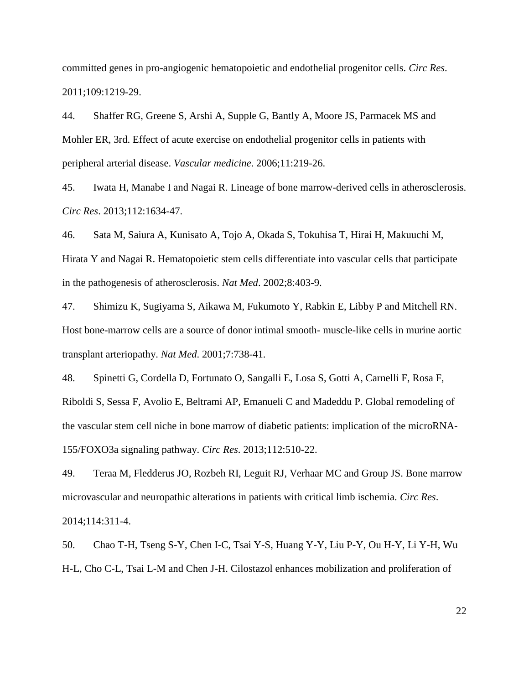committed genes in pro-angiogenic hematopoietic and endothelial progenitor cells. *Circ Res*. 2011;109:1219-29.

<span id="page-21-0"></span>44. Shaffer RG, Greene S, Arshi A, Supple G, Bantly A, Moore JS, Parmacek MS and Mohler ER, 3rd. Effect of acute exercise on endothelial progenitor cells in patients with peripheral arterial disease. *Vascular medicine*. 2006;11:219-26.

<span id="page-21-1"></span>45. Iwata H, Manabe I and Nagai R. Lineage of bone marrow-derived cells in atherosclerosis. *Circ Res*. 2013;112:1634-47.

46. Sata M, Saiura A, Kunisato A, Tojo A, Okada S, Tokuhisa T, Hirai H, Makuuchi M, Hirata Y and Nagai R. Hematopoietic stem cells differentiate into vascular cells that participate in the pathogenesis of atherosclerosis. *Nat Med*. 2002;8:403-9.

47. Shimizu K, Sugiyama S, Aikawa M, Fukumoto Y, Rabkin E, Libby P and Mitchell RN. Host bone-marrow cells are a source of donor intimal smooth- muscle-like cells in murine aortic transplant arteriopathy. *Nat Med*. 2001;7:738-41.

<span id="page-21-2"></span>48. Spinetti G, Cordella D, Fortunato O, Sangalli E, Losa S, Gotti A, Carnelli F, Rosa F, Riboldi S, Sessa F, Avolio E, Beltrami AP, Emanueli C and Madeddu P. Global remodeling of the vascular stem cell niche in bone marrow of diabetic patients: implication of the microRNA-155/FOXO3a signaling pathway. *Circ Res*. 2013;112:510-22.

<span id="page-21-3"></span>49. Teraa M, Fledderus JO, Rozbeh RI, Leguit RJ, Verhaar MC and Group JS. Bone marrow microvascular and neuropathic alterations in patients with critical limb ischemia. *Circ Res*. 2014;114:311-4.

<span id="page-21-4"></span>50. Chao T-H, Tseng S-Y, Chen I-C, Tsai Y-S, Huang Y-Y, Liu P-Y, Ou H-Y, Li Y-H, Wu H-L, Cho C-L, Tsai L-M and Chen J-H. Cilostazol enhances mobilization and proliferation of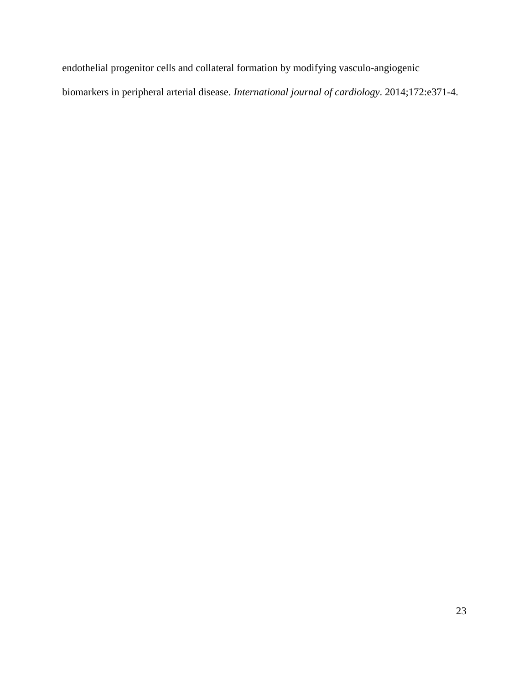endothelial progenitor cells and collateral formation by modifying vasculo-angiogenic biomarkers in peripheral arterial disease. *International journal of cardiology*. 2014;172:e371-4.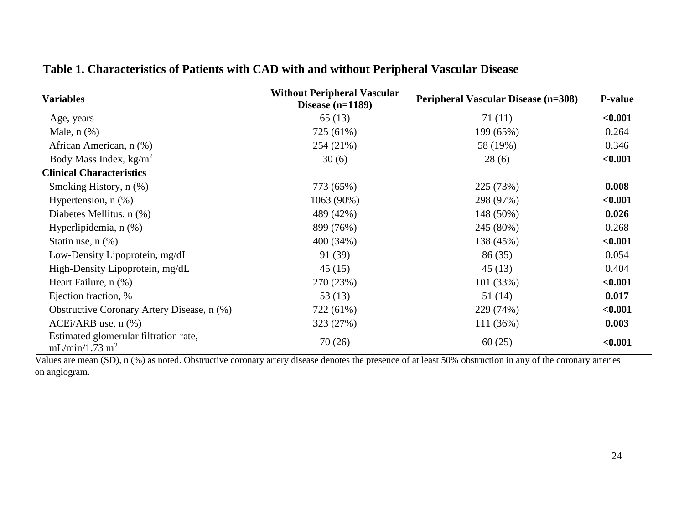| <b>Variables</b>                                                    | <b>Without Peripheral Vascular</b><br>Disease $(n=1189)$ | <b>Peripheral Vascular Disease (n=308)</b> | <b>P-value</b> |  |
|---------------------------------------------------------------------|----------------------------------------------------------|--------------------------------------------|----------------|--|
| Age, years                                                          | 65(13)                                                   | 71 (11)                                    | < 0.001        |  |
| Male, $n$ $(\%)$                                                    | 725 (61%)                                                | 199 (65%)                                  | 0.264          |  |
| African American, n (%)                                             | 254 (21%)                                                | 58 (19%)                                   | 0.346          |  |
| Body Mass Index, $kg/m2$                                            | 30(6)                                                    | 28(6)                                      | < 0.001        |  |
| <b>Clinical Characteristics</b>                                     |                                                          |                                            |                |  |
| Smoking History, n (%)                                              | 773 (65%)                                                | 225 (73%)                                  | 0.008          |  |
| Hypertension, $n$ $(\%)$                                            | 1063 (90%)                                               | 298 (97%)                                  | < 0.001        |  |
| Diabetes Mellitus, n (%)                                            | 489 (42%)                                                | 148 (50%)                                  | 0.026          |  |
| Hyperlipidemia, n (%)                                               | 899 (76%)                                                | 245 (80%)                                  | 0.268          |  |
| Statin use, $n$ $(\%)$                                              | 400 (34%)                                                | 138 (45%)                                  | < 0.001        |  |
| Low-Density Lipoprotein, mg/dL                                      | 91 (39)                                                  | 86(35)                                     | 0.054          |  |
| High-Density Lipoprotein, mg/dL                                     | 45(15)                                                   | 45(13)                                     | 0.404          |  |
| Heart Failure, n (%)                                                | 270 (23%)                                                | 101(33%)                                   | < 0.001        |  |
| Ejection fraction, %                                                | 53(13)                                                   | 51(14)                                     | 0.017          |  |
| Obstructive Coronary Artery Disease, n (%)                          | 722 (61%)                                                | 229 (74%)                                  | < 0.001        |  |
| $ACEi/ARB$ use, $n$ $%$                                             | 323 (27%)                                                | 111 (36%)                                  | 0.003          |  |
| Estimated glomerular filtration rate,<br>mL/min/1.73 m <sup>2</sup> | 70(26)                                                   | 60(25)                                     | < 0.001        |  |

# **Table 1. Characteristics of Patients with CAD with and without Peripheral Vascular Disease**

Values are mean (SD), n (%) as noted. Obstructive coronary artery disease denotes the presence of at least 50% obstruction in any of the coronary arteries on angiogram.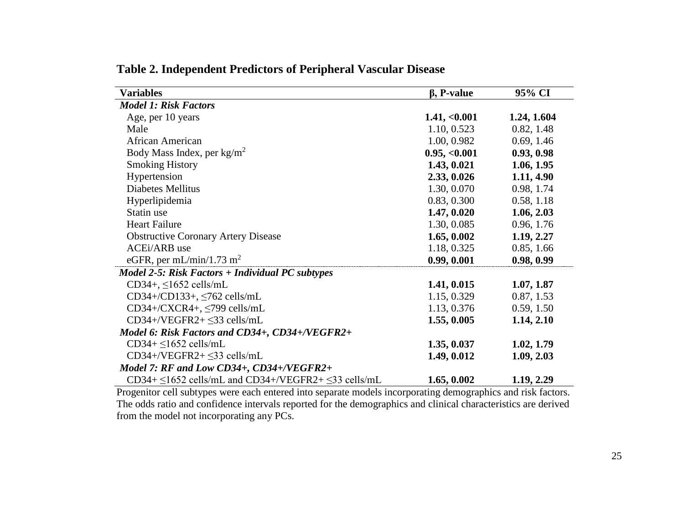| <b>Variables</b>                                                     | $\beta$ , P-value | 95% CI      |
|----------------------------------------------------------------------|-------------------|-------------|
| <b>Model 1: Risk Factors</b>                                         |                   |             |
| Age, per 10 years                                                    | 1.41, <0.001      | 1.24, 1.604 |
| Male                                                                 | 1.10, 0.523       | 0.82, 1.48  |
| African American                                                     | 1.00, 0.982       | 0.69, 1.46  |
| Body Mass Index, per $kg/m^2$                                        | 0.95, <0.001      | 0.93, 0.98  |
| <b>Smoking History</b>                                               | 1.43, 0.021       | 1.06, 1.95  |
| Hypertension                                                         | 2.33, 0.026       | 1.11, 4.90  |
| <b>Diabetes Mellitus</b>                                             | 1.30, 0.070       | 0.98, 1.74  |
| Hyperlipidemia                                                       | 0.83, 0.300       | 0.58, 1.18  |
| Statin use                                                           | 1.47, 0.020       | 1.06, 2.03  |
| <b>Heart Failure</b>                                                 | 1.30, 0.085       | 0.96, 1.76  |
| <b>Obstructive Coronary Artery Disease</b>                           | 1.65, 0.002       | 1.19, 2.27  |
| <b>ACEi/ARB</b> use                                                  | 1.18, 0.325       | 0.85, 1.66  |
| eGFR, per mL/min/1.73 m <sup>2</sup>                                 | 0.99, 0.001       | 0.98, 0.99  |
| Model 2-5: Risk Factors + Individual PC subtypes                     |                   |             |
| $CD34+$ , $\leq 1652$ cells/mL                                       | 1.41, 0.015       | 1.07, 1.87  |
| $CD34+/CD133+$ , $\leq 762$ cells/mL                                 | 1.15, 0.329       | 0.87, 1.53  |
| $CD34 + / CXCR4 +$ , $\leq$ 799 cells/mL                             | 1.13, 0.376       | 0.59, 1.50  |
| $CD34 + /VEGFR2 + \leq 33$ cells/mL                                  | 1.55, 0.005       | 1.14, 2.10  |
| Model 6: Risk Factors and CD34+, CD34+/VEGFR2+                       |                   |             |
| $CD34 + \leq 1652$ cells/mL                                          | 1.35, 0.037       | 1.02, 1.79  |
| $CD34 + /VEGFR2 + \leq 33$ cells/mL                                  | 1.49, 0.012       | 1.09, 2.03  |
| Model 7: RF and Low CD34+, CD34+/VEGFR2+                             |                   |             |
| $CD34 + \leq 1652$ cells/mL and $CD34 + / VEGFR2 + \leq 33$ cells/mL | 1.65, 0.002       | 1.19, 2.29  |

## **Table 2. Independent Predictors of Peripheral Vascular Disease**

Progenitor cell subtypes were each entered into separate models incorporating demographics and risk factors. The odds ratio and confidence intervals reported for the demographics and clinical characteristics are derived from the model not incorporating any PCs.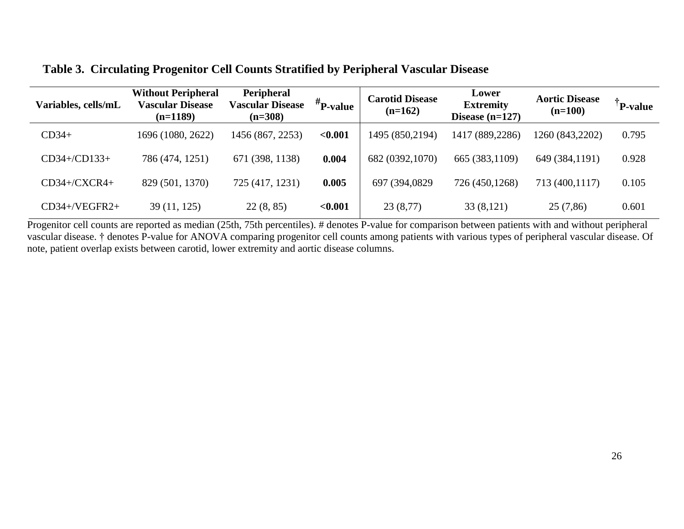## **Table 3. Circulating Progenitor Cell Counts Stratified by Peripheral Vascular Disease**

| Variables, cells/mL | <b>Without Peripheral</b><br><b>Vascular Disease</b><br>$(n=1189)$ | Peripheral<br><b>Vascular Disease</b><br>$(n=308)$ | $#_{P-value}$ | <b>Carotid Disease</b><br>$(n=162)$ | Lower<br><b>Extremity</b><br>Disease $(n=127)$ | <b>Aortic Disease</b><br>$(n=100)$ | P-value |
|---------------------|--------------------------------------------------------------------|----------------------------------------------------|---------------|-------------------------------------|------------------------------------------------|------------------------------------|---------|
| $CD34+$             | 1696 (1080, 2622)                                                  | 1456 (867, 2253)                                   | < 0.001       | 1495 (850,2194)                     | 1417 (889,2286)                                | 1260 (843,2202)                    | 0.795   |
| CD34+/CD133+        | 786 (474, 1251)                                                    | 671 (398, 1138)                                    | 0.004         | 682 (0392,1070)                     | 665 (383,1109)                                 | 649 (384,1191)                     | 0.928   |
| $CD34+/CXCR4+$      | 829 (501, 1370)                                                    | 725 (417, 1231)                                    | 0.005         | 697 (394,0829)                      | 726 (450,1268)                                 | 713 (400,1117)                     | 0.105   |
| $CD34 + /VEGFR2 +$  | 39(11, 125)                                                        | 22(8, 85)                                          | < 0.001       | 23(8,77)                            | 33(8,121)                                      | 25(7,86)                           | 0.601   |

Progenitor cell counts are reported as median (25th, 75th percentiles). # denotes P-value for comparison between patients with and without peripheral vascular disease. † denotes P-value for ANOVA comparing progenitor cell counts among patients with various types of peripheral vascular disease. Of note, patient overlap exists between carotid, lower extremity and aortic disease columns.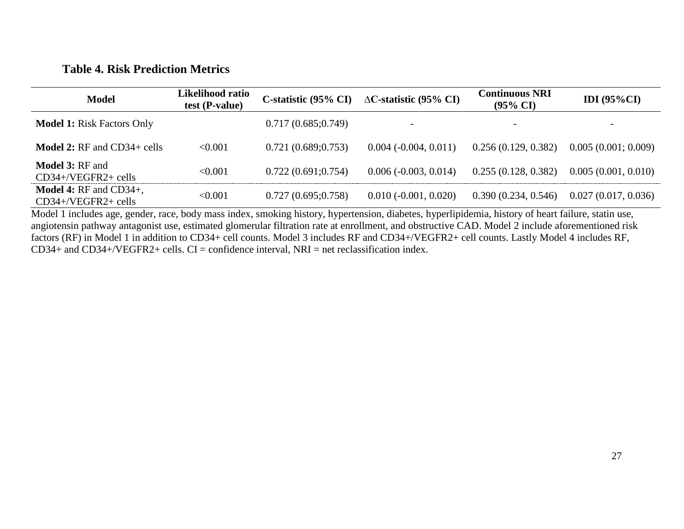# **Table 4. Risk Prediction Metrics**

| <b>Model</b>                                                  | Likelihood ratio<br>test (P-value) |                     | C-statistic (95% CI) $\triangle$ C-statistic (95% CI) | <b>Continuous NRI</b><br>$(95\% \text{ CI})$ | IDI $(95\%CI)$      |
|---------------------------------------------------------------|------------------------------------|---------------------|-------------------------------------------------------|----------------------------------------------|---------------------|
| <b>Model 1: Risk Factors Only</b>                             |                                    | 0.717(0.685;0.749)  |                                                       | $\overline{\phantom{a}}$                     |                     |
| <b>Model 2:</b> $RF$ and $CD34+$ cells                        | < 0.001                            | 0.721(0.689; 0.753) | $0.004 (-0.004, 0.011)$                               | 0.256(0.129, 0.382)                          | 0.005(0.001; 0.009) |
| <b>Model 3: RF and</b><br>$CD34 + / VEGFR2 +$ cells           | < 0.001                            | 0.722(0.691;0.754)  | $0.006(-0.003, 0.014)$                                | 0.255(0.128, 0.382)                          | 0.005(0.001, 0.010) |
| <b>Model 4:</b> RF and $CD34+$ ,<br>$CD34 + / VEGFR2 +$ cells | < 0.001                            | 0.727(0.695;0.758)  | $0.010(-0.001, 0.020)$                                | 0.390(0.234, 0.546)                          | 0.027(0.017, 0.036) |

Model 1 includes age, gender, race, body mass index, smoking history, hypertension, diabetes, hyperlipidemia, history of heart failure, statin use, angiotensin pathway antagonist use, estimated glomerular filtration rate at enrollment, and obstructive CAD. Model 2 include aforementioned risk factors (RF) in Model 1 in addition to CD34+ cell counts. Model 3 includes RF and CD34+/VEGFR2+ cell counts. Lastly Model 4 includes RF, CD34+ and CD34+/VEGFR2+ cells. CI = confidence interval, NRI = net reclassification index.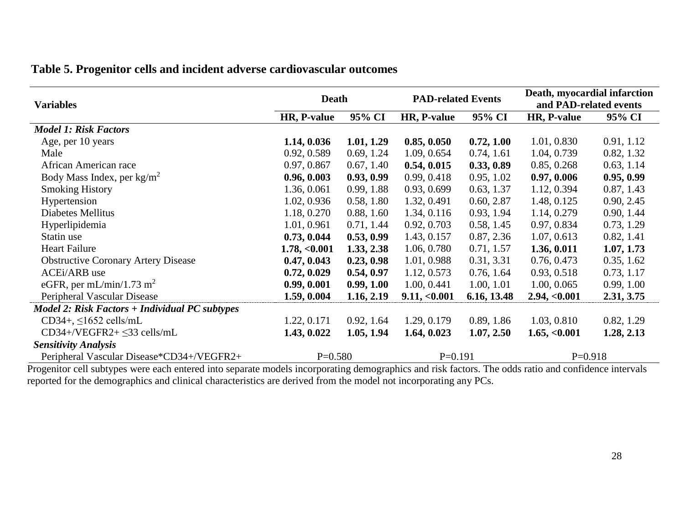# **Table 5. Progenitor cells and incident adverse cardiovascular outcomes**

| <b>Variables</b>                                 | <b>Death</b> |            | <b>PAD-related Events</b> |             | Death, myocardial infarction<br>and PAD-related events |            |
|--------------------------------------------------|--------------|------------|---------------------------|-------------|--------------------------------------------------------|------------|
|                                                  | HR, P-value  | 95% CI     | HR, P-value               | 95% CI      | HR, P-value                                            | 95% CI     |
| <b>Model 1: Risk Factors</b>                     |              |            |                           |             |                                                        |            |
| Age, per 10 years                                | 1.14, 0.036  | 1.01, 1.29 | 0.85, 0.050               | 0.72, 1.00  | 1.01, 0.830                                            | 0.91, 1.12 |
| Male                                             | 0.92, 0.589  | 0.69, 1.24 | 1.09, 0.654               | 0.74, 1.61  | 1.04, 0.739                                            | 0.82, 1.32 |
| African American race                            | 0.97, 0.867  | 0.67, 1.40 | 0.54, 0.015               | 0.33, 0.89  | 0.85, 0.268                                            | 0.63, 1.14 |
| Body Mass Index, per $\text{kg/m}^2$             | 0.96, 0.003  | 0.93, 0.99 | 0.99, 0.418               | 0.95, 1.02  | 0.97, 0.006                                            | 0.95, 0.99 |
| <b>Smoking History</b>                           | 1.36, 0.061  | 0.99, 1.88 | 0.93, 0.699               | 0.63, 1.37  | 1.12, 0.394                                            | 0.87, 1.43 |
| Hypertension                                     | 1.02, 0.936  | 0.58, 1.80 | 1.32, 0.491               | 0.60, 2.87  | 1.48, 0.125                                            | 0.90, 2.45 |
| Diabetes Mellitus                                | 1.18, 0.270  | 0.88, 1.60 | 1.34, 0.116               | 0.93, 1.94  | 1.14, 0.279                                            | 0.90, 1.44 |
| Hyperlipidemia                                   | 1.01, 0.961  | 0.71, 1.44 | 0.92, 0.703               | 0.58, 1.45  | 0.97, 0.834                                            | 0.73, 1.29 |
| Statin use                                       | 0.73, 0.044  | 0.53, 0.99 | 1.43, 0.157               | 0.87, 2.36  | 1.07, 0.613                                            | 0.82, 1.41 |
| <b>Heart Failure</b>                             | 1.78, <0.001 | 1.33, 2.38 | 1.06, 0.780               | 0.71, 1.57  | 1.36, 0.011                                            | 1.07, 1.73 |
| <b>Obstructive Coronary Artery Disease</b>       | 0.47, 0.043  | 0.23, 0.98 | 1.01, 0.988               | 0.31, 3.31  | 0.76, 0.473                                            | 0.35, 1.62 |
| <b>ACEi/ARB</b> use                              | 0.72, 0.029  | 0.54, 0.97 | 1.12, 0.573               | 0.76, 1.64  | 0.93, 0.518                                            | 0.73, 1.17 |
| eGFR, per mL/min/1.73 m <sup>2</sup>             | 0.99, 0.001  | 0.99, 1.00 | 1.00, 0.441               | 1.00, 1.01  | 1.00, 0.065                                            | 0.99, 1.00 |
| Peripheral Vascular Disease                      | 1.59, 0.004  | 1.16, 2.19 | 9.11, <0.001              | 6.16, 13.48 | 2.94, <0.001                                           | 2.31, 3.75 |
| $Model 2: Risk Factors + Individual PC subtypes$ |              |            |                           |             |                                                        |            |
| $CD34+$ , $\leq 1652$ cells/mL                   | 1.22, 0.171  | 0.92, 1.64 | 1.29, 0.179               | 0.89, 1.86  | 1.03, 0.810                                            | 0.82, 1.29 |
| $CD34 + /VEGFR2 + \leq 33$ cells/mL              | 1.43, 0.022  | 1.05, 1.94 | 1.64, 0.023               | 1.07, 2.50  | 1.65, <0.001                                           | 1.28, 2.13 |
| <b>Sensitivity Analysis</b>                      |              |            |                           |             |                                                        |            |
| Peripheral Vascular Disease*CD34+/VEGFR2+        | $P=0.580$    |            | $P=0.191$                 |             | $P=0.918$                                              |            |

Progenitor cell subtypes were each entered into separate models incorporating demographics and risk factors. The odds ratio and confidence intervals reported for the demographics and clinical characteristics are derived from the model not incorporating any PCs.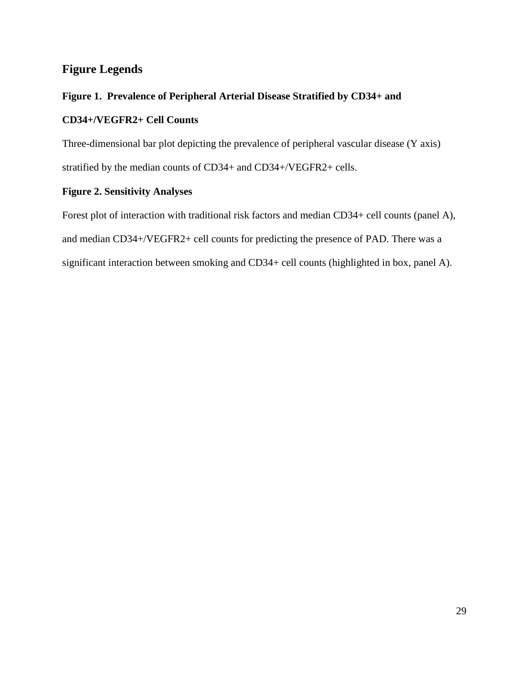# **Figure Legends**

## **Figure 1. Prevalence of Peripheral Arterial Disease Stratified by CD34+ and**

## **CD34+/VEGFR2+ Cell Counts**

Three-dimensional bar plot depicting the prevalence of peripheral vascular disease (Y axis) stratified by the median counts of CD34+ and CD34+/VEGFR2+ cells.

## **Figure 2. Sensitivity Analyses**

Forest plot of interaction with traditional risk factors and median CD34+ cell counts (panel A), and median CD34+/VEGFR2+ cell counts for predicting the presence of PAD. There was a significant interaction between smoking and CD34+ cell counts (highlighted in box, panel A).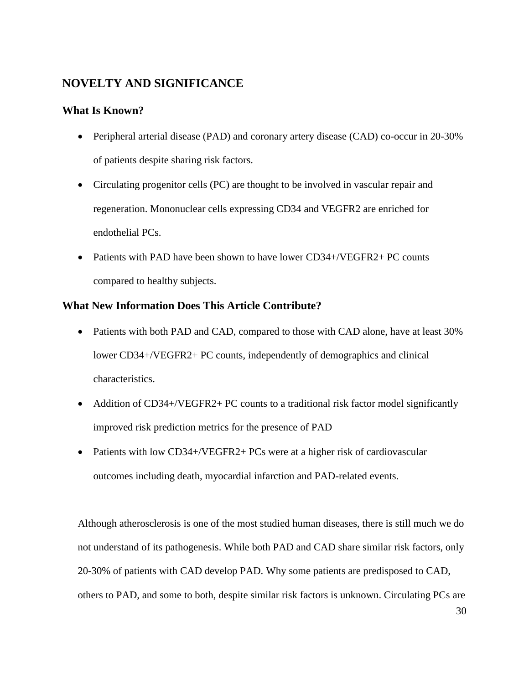# **NOVELTY AND SIGNIFICANCE**

## **What Is Known?**

- Peripheral arterial disease (PAD) and coronary artery disease (CAD) co-occur in 20-30% of patients despite sharing risk factors.
- Circulating progenitor cells (PC) are thought to be involved in vascular repair and regeneration. Mononuclear cells expressing CD34 and VEGFR2 are enriched for endothelial PCs.
- Patients with PAD have been shown to have lower CD34+/VEGFR2+ PC counts compared to healthy subjects.

## **What New Information Does This Article Contribute?**

- Patients with both PAD and CAD, compared to those with CAD alone, have at least 30% lower CD34+/VEGFR2+ PC counts, independently of demographics and clinical characteristics.
- Addition of CD34+/VEGFR2+ PC counts to a traditional risk factor model significantly improved risk prediction metrics for the presence of PAD
- Patients with low CD34+/VEGFR2+ PCs were at a higher risk of cardiovascular outcomes including death, myocardial infarction and PAD-related events.

Although atherosclerosis is one of the most studied human diseases, there is still much we do not understand of its pathogenesis. While both PAD and CAD share similar risk factors, only 20-30% of patients with CAD develop PAD. Why some patients are predisposed to CAD, others to PAD, and some to both, despite similar risk factors is unknown. Circulating PCs are